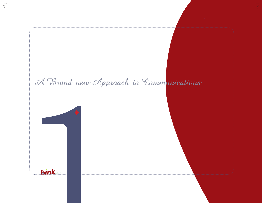# A Brand new Approach to Communications



 $\langle \bar{\!\!\!\backslash}$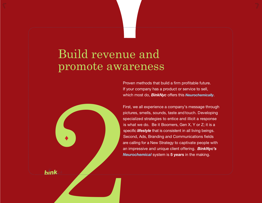# Build revenue and promote awareness

Proven methods that build a firm profitable future. If your company has a product or service to sell, which most do, *BinkNyc* offers this *[Neurochemically](http://neurochemical.wordpress.com)*.

**Executed**<br>
First spier<br>
Secare<br>
Secare<br>
Secare<br>
Secare<br>
Secare<br>
Secare<br>
Secare<br>
Secare<br>
Secare<br>
Secare<br>
Secare<br>
Secare<br>
Secare<br>
Secare<br>
Secare<br>
Secare<br>
Secare<br>
Secare<br>
Secare<br>
Secare<br>
Secare<br>
Secare<br>
Secare<br>
Secare<br>
Secar First, we all experience a company's message through pictures, smells, sounds, taste and touch. Developing specialized strategies to entice and illicit a response is what we do. Be it Boomers, Gen X, Y or Z; it is a specific *lifestyle* that is consistent in all living beings. Second, Ads, Branding and Communications fields are calling for a New Strategy to captivate people with an impressive and unique client offering. *BinkNyc's [Neurochemical](http://neurochemical.wordpress.com)* system is **5 years** in the making.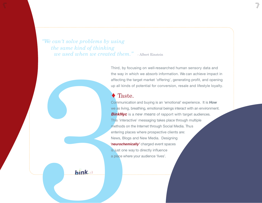*"We can't solve problems by using the same kind of thinking we used when we created them."* - Albert Einstein

Third, by focusing on well-researched human sensory data and the way in which we absorb information. We can achieve impact in affecting the target market 'offering', generating profit, and opening up all kinds of potential for conversion, resale and lifestyle loyalty.

#### Taste.

Third, by for<br>the way in w<br>affecting the<br>up all kinds<br>**Tast Communical**<br>we as living,<br>**BinkNyc** is<br>this "interace<br>methods on<br>their plat<br>News, Blogs<br>reurochemic splace<br>where a place where<br>a place where<br>a place where<br>a place Communication and buying is an 'emotional' experience. It is *How* we as living, breathing, emotional beings interact with an environment. *BinkNyc* is a *new means* of rapport with target audiences. This 'interactive' messaging takes place through multiple methods on the Internet through Social Media. Thus entering places where prospective clients are: News, Blogs and New Media. Designing **'neurochemically'** charged event spaces is just one way to directly influence a place where your audience 'lives'.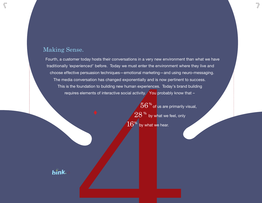### Making Sense.

 $\langle\hspace{-0.3em}\langle$ 

stomer today nosts their conversations in a very new environment the experienced' before. Today we must enter the environment where disting the experience of before. Today we must enter the environment where dia conversati Fourth, a customer today hosts their conversations in a very new environment than what we have traditionally *'experienced'* before. Today we must enter the environment where they live and choose effective persuasion techniques—emotional marketing—and using neuro-messaging. The media conversation has changed exponentially and is now pertinent to success. This is the foundation to building new human experiences. Today's brand building requires elements of interactive social activity. You probably know that –

 $56\%$  of us are primarily visual,  $28$  % by what we feel, only  $16\%$  by what we hear.

 $\overline{\mathcal{V}}$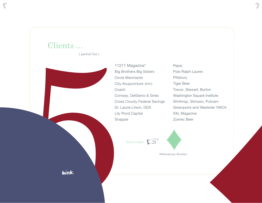

 $\langle \bar{\!\!\!\backslash}$ 

11211 Magazine\* Big Brothers Big Sisters Circle Merchants City Acupuncture (NYC) Conway, DelGenio & Gries Cross County Federal Savings Dr. Laurie Litwin, DDS Lily Pond Capital Snapple

Pepsi Polo Ralph Lauren Pillsbury Tiger Beer Trevor, Stewart, Burton Washington Square Institute Winthrop, Stimson, Putnam Greenpoint and Westside YMCA XXL Magazine Zywiec Beer

 $\overline{\gamma}$ 

click to links  $\sqrt{S}$ 

[Williamsburg | Brooklyn](http://www.binknyc.com/infographic)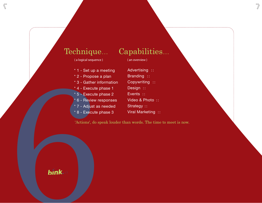### Technique...

#### ( a logical sequence )

- \* 1 Set up a meeting
- \* 2 Propose a plan
- \* 3 Gather information
- $*$  4 Execute phase 1
- \* 5 Execute phase 2
- 6 Review responses
- \* 7 Adjust as needed
- \* 8 Execute phase 3

## Capabilities...

 $\overline{\mathcal{V}}$ 

( an overview )

Advertising :: Branding :: Copywriting :: Design :: Events :: Video & Photo :: Strategy :: Viral Marketing ::<br>
Viral Marketing ::<br>
Viral Marketing ::<br>
Viral Marketing ::<br>
Viral Marketing ::<br>
S - Execute phase 2 Events ::<br>
T - Adjust as needed Strategy ::<br>
Viral Marketing ::<br>
Viral Marketing ::<br>
Viral Marketing :

'Actions', do speak louder than words. The time to meet is now.

 $\langle \bar{\rangle}$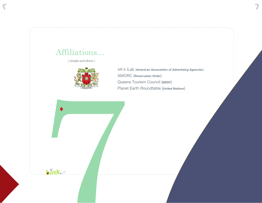### [Affiliations...](mailto:binknyc@gmail.com)

 $\sqrt{\phantom{a}}$ 

( simple and direct )



4A's iLab (*American Association of Advertising Agencies*) AMORC (*Rosicrusian Order*) Queens Tourism Council (*QEDC*) Planet Earth Roundtable (*United Nations*)

 $\overline{\mathcal{V}}$